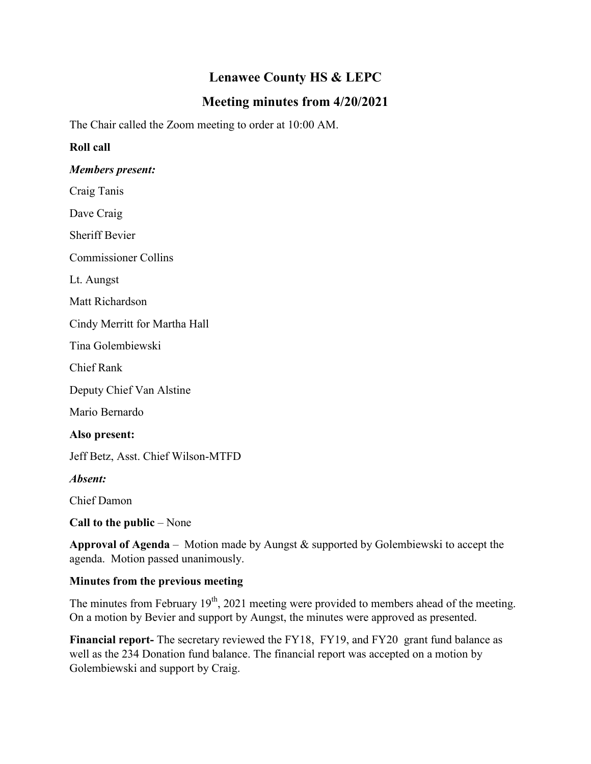# **Lenawee County HS & LEPC**

## **Meeting minutes from 4/20/2021**

The Chair called the Zoom meeting to order at 10:00 AM.

### **Roll call**

#### *Members present:*

Craig Tanis

Dave Craig

Sheriff Bevier

Commissioner Collins

Lt. Aungst

Matt Richardson

Cindy Merritt for Martha Hall

Tina Golembiewski

Chief Rank

Deputy Chief Van Alstine

Mario Bernardo

#### **Also present:**

Jeff Betz, Asst. Chief Wilson-MTFD

*Absent:*

Chief Damon

**Call to the public** – None

**Approval of Agenda** – Motion made by Aungst & supported by Golembiewski to accept the agenda. Motion passed unanimously.

#### **Minutes from the previous meeting**

The minutes from February  $19<sup>th</sup>$ , 2021 meeting were provided to members ahead of the meeting. On a motion by Bevier and support by Aungst, the minutes were approved as presented.

**Financial report-** The secretary reviewed the FY18, FY19, and FY20 grant fund balance as well as the 234 Donation fund balance. The financial report was accepted on a motion by Golembiewski and support by Craig.